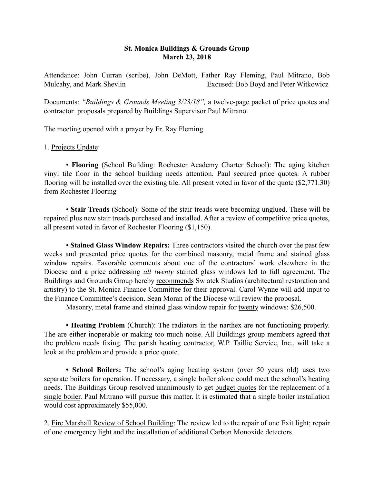# St. Monica Buildings & Grounds Group March 23, 2018

Attendance: John Curran (scribe), John DeMott, Father Ray Fleming, Paul Mitrano, Bob Mulcahy, and Mark Shevlin Excused: Bob Boyd and Peter Witkowicz

Documents: *"Buildings & Grounds Meeting 3/23/18",* a twelve-page packet of price quotes and contractor proposals prepared by Buildings Supervisor Paul Mitrano.

The meeting opened with a prayer by Fr. Ray Fleming.

## 1. Projects Update:

• Flooring (School Building: Rochester Academy Charter School): The aging kitchen vinyl tile floor in the school building needs attention. Paul secured price quotes. A rubber flooring will be installed over the existing tile. All present voted in favor of the quote (\$2,771.30) from Rochester Flooring

• Stair Treads (School): Some of the stair treads were becoming unglued. These will be repaired plus new stair treads purchased and installed. After a review of competitive price quotes, all present voted in favor of Rochester Flooring (\$1,150).

• Stained Glass Window Repairs: Three contractors visited the church over the past few weeks and presented price quotes for the combined masonry, metal frame and stained glass window repairs. Favorable comments about one of the contractors' work elsewhere in the Diocese and a price addressing *all twenty* stained glass windows led to full agreement. The Buildings and Grounds Group hereby recommends Swiatek Studios (architectural restoration and artistry) to the St. Monica Finance Committee for their approval. Carol Wynne will add input to the Finance Committee's decision. Sean Moran of the Diocese will review the proposal.

Masonry, metal frame and stained glass window repair for twenty windows: \$26,500.

• Heating Problem (Church): The radiators in the narthex are not functioning properly. The are either inoperable or making too much noise. All Buildings group members agreed that the problem needs fixing. The parish heating contractor, W.P. Taillie Service, Inc., will take a look at the problem and provide a price quote.

• School Boilers: The school's aging heating system (over 50 years old) uses two separate boilers for operation. If necessary, a single boiler alone could meet the school's heating needs. The Buildings Group resolved unanimously to get budget quotes for the replacement of a single boiler. Paul Mitrano will pursue this matter. It is estimated that a single boiler installation would cost approximately \$55,000.

2. Fire Marshall Review of School Building: The review led to the repair of one Exit light; repair of one emergency light and the installation of additional Carbon Monoxide detectors.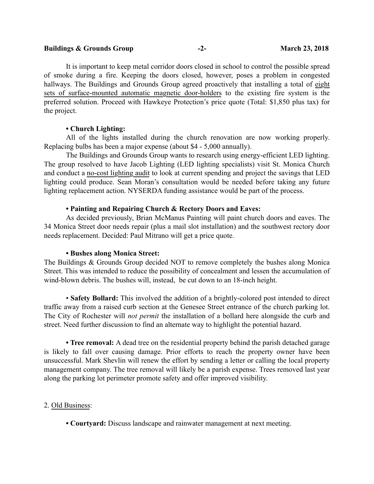#### Buildings & Grounds Group -2- March 23, 2018

It is important to keep metal corridor doors closed in school to control the possible spread of smoke during a fire. Keeping the doors closed, however, poses a problem in congested hallways. The Buildings and Grounds Group agreed proactively that installing a total of eight sets of surface-mounted automatic magnetic door-holders to the existing fire system is the preferred solution. Proceed with Hawkeye Protection's price quote (Total: \$1,850 plus tax) for the project.

#### • Church Lighting:

All of the lights installed during the church renovation are now working properly. Replacing bulbs has been a major expense (about \$4 - 5,000 annually).

The Buildings and Grounds Group wants to research using energy-efficient LED lighting. The group resolved to have Jacob Lighting (LED lighting specialists) visit St. Monica Church and conduct a no-cost lighting audit to look at current spending and project the savings that LED lighting could produce. Sean Moran's consultation would be needed before taking any future lighting replacement action. NYSERDA funding assistance would be part of the process.

### • Painting and Repairing Church & Rectory Doors and Eaves:

As decided previously, Brian McManus Painting will paint church doors and eaves. The 34 Monica Street door needs repair (plus a mail slot installation) and the southwest rectory door needs replacement. Decided: Paul Mitrano will get a price quote.

#### • Bushes along Monica Street:

The Buildings & Grounds Group decided NOT to remove completely the bushes along Monica Street. This was intended to reduce the possibility of concealment and lessen the accumulation of wind-blown debris. The bushes will, instead, be cut down to an 18-inch height.

• Safety Bollard: This involved the addition of a brightly-colored post intended to direct traffic away from a raised curb section at the Genesee Street entrance of the church parking lot. The City of Rochester will *not permit* the installation of a bollard here alongside the curb and street. Need further discussion to find an alternate way to highlight the potential hazard.

• Tree removal: A dead tree on the residential property behind the parish detached garage is likely to fall over causing damage. Prior efforts to reach the property owner have been unsuccessful. Mark Shevlin will renew the effort by sending a letter or calling the local property management company. The tree removal will likely be a parish expense. Trees removed last year along the parking lot perimeter promote safety and offer improved visibility.

#### 2. Old Business:

• Courtyard: Discuss landscape and rainwater management at next meeting.